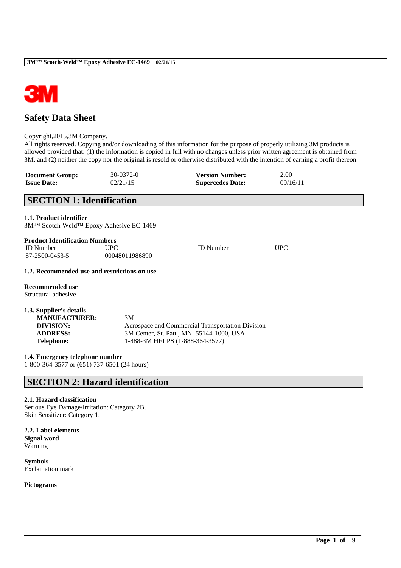

# **Safety Data Sheet**

#### Copyright,2015,3M Company.

All rights reserved. Copying and/or downloading of this information for the purpose of properly utilizing 3M products is allowed provided that: (1) the information is copied in full with no changes unless prior written agreement is obtained from 3M, and (2) neither the copy nor the original is resold or otherwise distributed with the intention of earning a profit thereon.

\_\_\_\_\_\_\_\_\_\_\_\_\_\_\_\_\_\_\_\_\_\_\_\_\_\_\_\_\_\_\_\_\_\_\_\_\_\_\_\_\_\_\_\_\_\_\_\_\_\_\_\_\_\_\_\_\_\_\_\_\_\_\_\_\_\_\_\_\_\_\_\_\_\_\_\_\_\_\_\_\_\_\_\_\_\_\_\_\_\_

| <b>Document Group:</b> | 30-0372-0 | <b>Version Number:</b>  | 2.00     |
|------------------------|-----------|-------------------------|----------|
| <b>Issue Date:</b>     | 02/21/15  | <b>Supercedes Date:</b> | 09/16/11 |

## **SECTION 1: Identification**

#### **1.1. Product identifier**

3M™ Scotch-Weld™ Epoxy Adhesive EC-1469

#### **Product Identification Numbers**

| <b>ID</b> Number | UPC            | <b>ID</b> Number | UPC |
|------------------|----------------|------------------|-----|
| 87-2500-0453-5   | 00048011986890 |                  |     |

#### **1.2. Recommended use and restrictions on use**

**Recommended use** Structural adhesive

| 1.3. Supplier's details |                                                  |
|-------------------------|--------------------------------------------------|
| <b>MANUFACTURER:</b>    | 3M                                               |
| DIVISION:               | Aerospace and Commercial Transportation Division |
| <b>ADDRESS:</b>         | 3M Center, St. Paul, MN 55144-1000, USA          |
| <b>Telephone:</b>       | 1-888-3M HELPS (1-888-364-3577)                  |

**1.4. Emergency telephone number**

1-800-364-3577 or (651) 737-6501 (24 hours)

## **SECTION 2: Hazard identification**

#### **2.1. Hazard classification**

Serious Eye Damage/Irritation: Category 2B. Skin Sensitizer: Category 1.

**2.2. Label elements Signal word** Warning

**Symbols** Exclamation mark |

**Pictograms**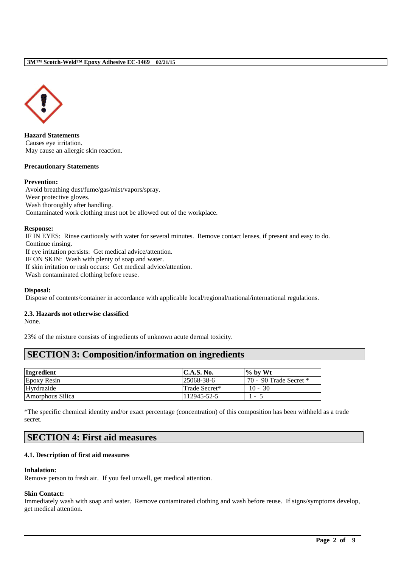

**Hazard Statements** Causes eye irritation. May cause an allergic skin reaction.

#### **Precautionary Statements**

#### **Prevention:**

Avoid breathing dust/fume/gas/mist/vapors/spray. Wear protective gloves. Wash thoroughly after handling. Contaminated work clothing must not be allowed out of the workplace.

#### **Response:**

IF IN EYES: Rinse cautiously with water for several minutes. Remove contact lenses, if present and easy to do. Continue rinsing.

If eye irritation persists: Get medical advice/attention.

IF ON SKIN: Wash with plenty of soap and water.

If skin irritation or rash occurs: Get medical advice/attention.

Wash contaminated clothing before reuse.

#### **Disposal:**

Dispose of contents/container in accordance with applicable local/regional/national/international regulations.

## **2.3. Hazards not otherwise classified**

None.

23% of the mixture consists of ingredients of unknown acute dermal toxicity.

## **SECTION 3: Composition/information on ingredients**

| Ingredient         | C.A.S. No.    | $\%$ by Wt               |
|--------------------|---------------|--------------------------|
| <b>Epoxy Resin</b> | 125068-38-6   | 70 - 90 Trade Secret $*$ |
| Hvrdrazide         | Trade Secret* | $10 - 30$                |
| Amorphous Silica   | 112945-52-5   | $\overline{\phantom{a}}$ |

\*The specific chemical identity and/or exact percentage (concentration) of this composition has been withheld as a trade secret.

## **SECTION 4: First aid measures**

#### **4.1. Description of first aid measures**

#### **Inhalation:**

Remove person to fresh air. If you feel unwell, get medical attention.

#### **Skin Contact:**

Immediately wash with soap and water. Remove contaminated clothing and wash before reuse. If signs/symptoms develop, get medical attention.

\_\_\_\_\_\_\_\_\_\_\_\_\_\_\_\_\_\_\_\_\_\_\_\_\_\_\_\_\_\_\_\_\_\_\_\_\_\_\_\_\_\_\_\_\_\_\_\_\_\_\_\_\_\_\_\_\_\_\_\_\_\_\_\_\_\_\_\_\_\_\_\_\_\_\_\_\_\_\_\_\_\_\_\_\_\_\_\_\_\_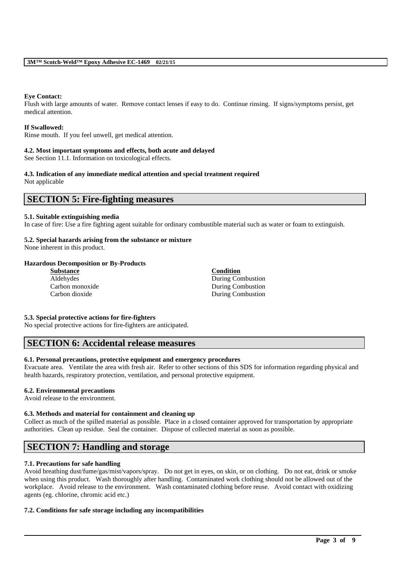#### **Eye Contact:**

Flush with large amounts of water. Remove contact lenses if easy to do. Continue rinsing. If signs/symptoms persist, get medical attention.

#### **If Swallowed:**

Rinse mouth. If you feel unwell, get medical attention.

#### **4.2. Most important symptoms and effects, both acute and delayed**

See Section 11.1. Information on toxicological effects.

# **4.3. Indication of any immediate medical attention and special treatment required**

Not applicable

## **SECTION 5: Fire-fighting measures**

#### **5.1. Suitable extinguishing media**

In case of fire: Use a fire fighting agent suitable for ordinary combustible material such as water or foam to extinguish.

## **5.2. Special hazards arising from the substance or mixture**

None inherent in this product.

#### **Hazardous Decomposition or By-Products**

| <b>Substance</b> | <b>Condition</b>  |
|------------------|-------------------|
| Aldehydes        | During Combustion |
| Carbon monoxide  | During Combustion |
| Carbon dioxide   | During Combustion |

#### **5.3. Special protective actions for fire-fighters**

No special protective actions for fire-fighters are anticipated.

## **SECTION 6: Accidental release measures**

#### **6.1. Personal precautions, protective equipment and emergency procedures**

Evacuate area. Ventilate the area with fresh air. Refer to other sections of this SDS for information regarding physical and health hazards, respiratory protection, ventilation, and personal protective equipment.

#### **6.2. Environmental precautions**

Avoid release to the environment.

#### **6.3. Methods and material for containment and cleaning up**

Collect as much of the spilled material as possible. Place in a closed container approved for transportation by appropriate authorities. Clean up residue. Seal the container. Dispose of collected material as soon as possible.

## **SECTION 7: Handling and storage**

#### **7.1. Precautions for safe handling**

Avoid breathing dust/fume/gas/mist/vapors/spray. Do not get in eyes, on skin, or on clothing. Do not eat, drink or smoke when using this product. Wash thoroughly after handling. Contaminated work clothing should not be allowed out of the workplace. Avoid release to the environment. Wash contaminated clothing before reuse. Avoid contact with oxidizing agents (eg. chlorine, chromic acid etc.)

\_\_\_\_\_\_\_\_\_\_\_\_\_\_\_\_\_\_\_\_\_\_\_\_\_\_\_\_\_\_\_\_\_\_\_\_\_\_\_\_\_\_\_\_\_\_\_\_\_\_\_\_\_\_\_\_\_\_\_\_\_\_\_\_\_\_\_\_\_\_\_\_\_\_\_\_\_\_\_\_\_\_\_\_\_\_\_\_\_\_

#### **7.2. Conditions for safe storage including any incompatibilities**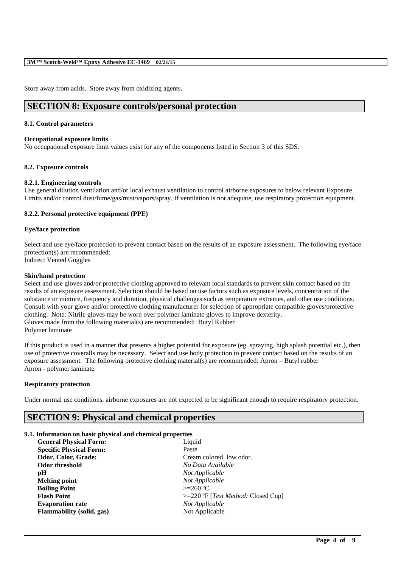#### **3M™ Scotch-Weld™ Epoxy Adhesive EC-1469 02/21/15**

Store away from acids. Store away from oxidizing agents.

## **SECTION 8: Exposure controls/personal protection**

#### **8.1. Control parameters**

#### **Occupational exposure limits**

No occupational exposure limit values exist for any of the components listed in Section 3 of this SDS.

#### **8.2. Exposure controls**

#### **8.2.1. Engineering controls**

Use general dilution ventilation and/or local exhaust ventilation to control airborne exposures to below relevant Exposure Limits and/or control dust/fume/gas/mist/vapors/spray. If ventilation is not adequate, use respiratory protection equipment.

#### **8.2.2. Personal protective equipment (PPE)**

#### **Eye/face protection**

Select and use eye/face protection to prevent contact based on the results of an exposure assessment. The following eye/face protection(s) are recommended: Indirect Vented Goggles

#### **Skin/hand protection**

Select and use gloves and/or protective clothing approved to relevant local standards to prevent skin contact based on the results of an exposure assessment. Selection should be based on use factors such as exposure levels, concentration of the substance or mixture, frequency and duration, physical challenges such as temperature extremes, and other use conditions. Consult with your glove and/or protective clothing manufacturer for selection of appropriate compatible gloves/protective clothing. Note: Nitrile gloves may be worn over polymer laminate gloves to improve dexterity. Gloves made from the following material(s) are recommended: Butyl Rubber Polymer laminate

If this product is used in a manner that presents a higher potential for exposure (eg. spraying, high splash potential etc.), then use of protective coveralls may be necessary. Select and use body protection to prevent contact based on the results of an exposure assessment. The following protective clothing material(s) are recommended: Apron – Butyl rubber Apron - polymer laminate

#### **Respiratory protection**

Under normal use conditions, airborne exposures are not expected to be significant enough to require respiratory protection.

\_\_\_\_\_\_\_\_\_\_\_\_\_\_\_\_\_\_\_\_\_\_\_\_\_\_\_\_\_\_\_\_\_\_\_\_\_\_\_\_\_\_\_\_\_\_\_\_\_\_\_\_\_\_\_\_\_\_\_\_\_\_\_\_\_\_\_\_\_\_\_\_\_\_\_\_\_\_\_\_\_\_\_\_\_\_\_\_\_\_

## **SECTION 9: Physical and chemical properties**

#### **9.1. Information on basic physical and chemical properties**

| <b>General Physical Form:</b>  | Liquid                                        |
|--------------------------------|-----------------------------------------------|
| <b>Specific Physical Form:</b> | Paste                                         |
| Odor, Color, Grade:            | Cream colored, low odor.                      |
| <b>Odor threshold</b>          | No Data Available                             |
| рH                             | Not Applicable                                |
| <b>Melting point</b>           | Not Applicable                                |
| <b>Boiling Point</b>           | $>=260 °C$                                    |
| <b>Flash Point</b>             | $>=220$ °F [ <i>Test Method</i> : Closed Cup] |
| <b>Evaporation rate</b>        | Not Applicable                                |
| Flammability (solid, gas)      | Not Applicable                                |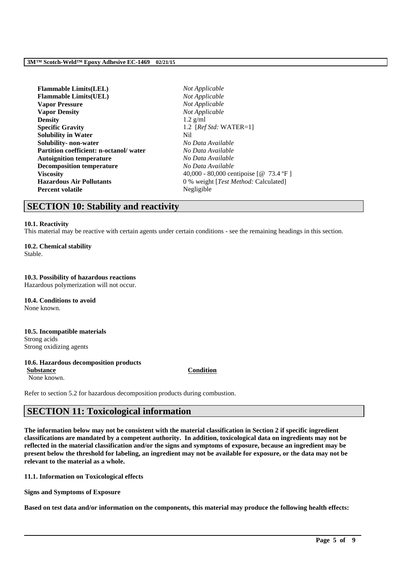| <b>Flammable Limits(LEL)</b>           | Not Applicable                         |
|----------------------------------------|----------------------------------------|
| <b>Flammable Limits(UEL)</b>           | Not Applicable                         |
| <b>Vapor Pressure</b>                  | Not Applicable                         |
| <b>Vapor Density</b>                   | Not Applicable                         |
| <b>Density</b>                         | $1.2$ g/ml                             |
| <b>Specific Gravity</b>                | 1.2 [ $RefStd: WATER=1$ ]              |
| <b>Solubility in Water</b>             | Nil                                    |
| Solubility- non-water                  | No Data Available                      |
| Partition coefficient: n-octanol/water | No Data Available                      |
| <b>Autoignition temperature</b>        | No Data Available                      |
| <b>Decomposition temperature</b>       | No Data Available                      |
| <b>Viscosity</b>                       | 40,000 - 80,000 centipoise [@ 73.4 °F] |
| <b>Hazardous Air Pollutants</b>        | 0 % weight [Test Method: Calculated]   |
| <b>Percent volatile</b>                | Negligible                             |
|                                        |                                        |

## **SECTION 10: Stability and reactivity**

#### **10.1. Reactivity**

This material may be reactive with certain agents under certain conditions - see the remaining headings in this section.

**10.2. Chemical stability** Stable.

#### **10.3. Possibility of hazardous reactions**

Hazardous polymerization will not occur.

**10.4. Conditions to avoid** None known.

**10.5. Incompatible materials** Strong acids Strong oxidizing agents

#### **10.6. Hazardous decomposition products Substance Condition**

None known.

Refer to section 5.2 for hazardous decomposition products during combustion.

## **SECTION 11: Toxicological information**

**The information below may not be consistent with the material classification in Section 2 if specific ingredient classifications are mandated by a competent authority. In addition, toxicological data on ingredients may not be reflected in the material classification and/or the signs and symptoms of exposure, because an ingredient may be present below the threshold for labeling, an ingredient may not be available for exposure, or the data may not be relevant to the material as a whole.**

**11.1. Information on Toxicological effects**

**Signs and Symptoms of Exposure**

**Based on test data and/or information on the components, this material may produce the following health effects:**

\_\_\_\_\_\_\_\_\_\_\_\_\_\_\_\_\_\_\_\_\_\_\_\_\_\_\_\_\_\_\_\_\_\_\_\_\_\_\_\_\_\_\_\_\_\_\_\_\_\_\_\_\_\_\_\_\_\_\_\_\_\_\_\_\_\_\_\_\_\_\_\_\_\_\_\_\_\_\_\_\_\_\_\_\_\_\_\_\_\_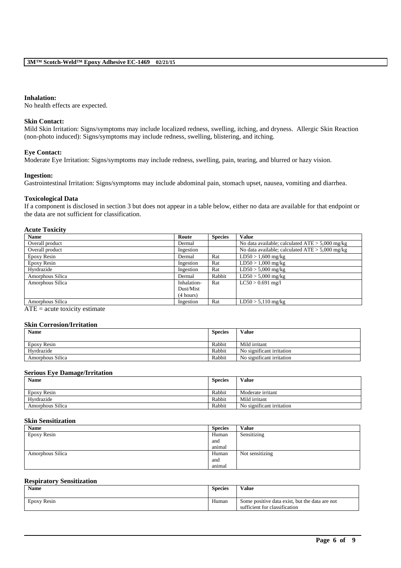#### **Inhalation:**

No health effects are expected.

#### **Skin Contact:**

Mild Skin Irritation: Signs/symptoms may include localized redness, swelling, itching, and dryness. Allergic Skin Reaction (non-photo induced): Signs/symptoms may include redness, swelling, blistering, and itching.

#### **Eye Contact:**

Moderate Eye Irritation: Signs/symptoms may include redness, swelling, pain, tearing, and blurred or hazy vision.

#### **Ingestion:**

Gastrointestinal Irritation: Signs/symptoms may include abdominal pain, stomach upset, nausea, vomiting and diarrhea.

#### **Toxicological Data**

If a component is disclosed in section 3 but does not appear in a table below, either no data are available for that endpoint or the data are not sufficient for classification.

#### **Acute Toxicity**

| <b>Name</b>      | Route       | <b>Species</b> | <b>Value</b>                                      |
|------------------|-------------|----------------|---------------------------------------------------|
| Overall product  | Dermal      |                | No data available; calculated $ATE > 5,000$ mg/kg |
| Overall product  | Ingestion   |                | No data available; calculated $ATE > 5,000$ mg/kg |
| Epoxy Resin      | Dermal      | Rat            | $LD50 > 1,600$ mg/kg                              |
| Epoxy Resin      | Ingestion   | Rat            | $LD50 > 1,000$ mg/kg                              |
| Hyrdrazide       | Ingestion   | Rat            | $LD50 > 5,000$ mg/kg                              |
| Amorphous Silica | Dermal      | Rabbit         | $LD50 > 5,000$ mg/kg                              |
| Amorphous Silica | Inhalation- | Rat            | $LC50 > 0.691$ mg/l                               |
|                  | Dust/Mist   |                |                                                   |
|                  | (4 hours)   |                |                                                   |
| Amorphous Silica | Ingestion   | Rat            | $LD50 > 5,110$ mg/kg                              |

 $ATE = acute$  toxicity estimate

### **Skin Corrosion/Irritation**

| <b>Name</b>      | <b>Species</b> | Value                     |
|------------------|----------------|---------------------------|
| Epoxy Resin      | Rabbit         | Mild irritant             |
| Hvrdrazide       | Rabbit         | No significant irritation |
| Amorphous Silica | Rabbit         | No significant irritation |

#### **Serious Eye Damage/Irritation**

| <b>Name</b>      | <b>Species</b> | Value                     |
|------------------|----------------|---------------------------|
| Epoxy Resin      | Rabbit         | Moderate irritant         |
| Hvrdrazide       | Rabbit         | Mild irritant             |
| Amorphous Silica | Rabbit         | No significant irritation |

### **Skin Sensitization**

| <b>Name</b>      | <b>Species</b> | Value           |
|------------------|----------------|-----------------|
| Epoxy Resin      | Human          | Sensitizing     |
|                  | and            |                 |
|                  | animal         |                 |
| Amorphous Silica | Human          | Not sensitizing |
|                  | and            |                 |
|                  | animal         |                 |

#### **Respiratory Sensitization**

| <b>Name</b> | <b>Species</b> | Value                                                                           |
|-------------|----------------|---------------------------------------------------------------------------------|
| Epoxy Resin | Human          | Some positive data exist, but the data are not<br>sufficient for classification |

\_\_\_\_\_\_\_\_\_\_\_\_\_\_\_\_\_\_\_\_\_\_\_\_\_\_\_\_\_\_\_\_\_\_\_\_\_\_\_\_\_\_\_\_\_\_\_\_\_\_\_\_\_\_\_\_\_\_\_\_\_\_\_\_\_\_\_\_\_\_\_\_\_\_\_\_\_\_\_\_\_\_\_\_\_\_\_\_\_\_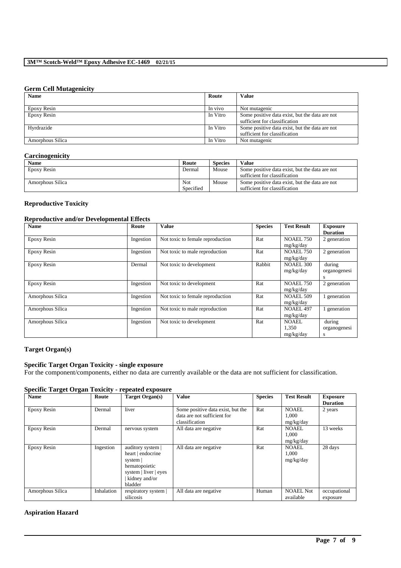#### **Germ Cell Mutagenicity**

| <b>Name</b>      | Route    | <b>Value</b>                                   |
|------------------|----------|------------------------------------------------|
|                  |          |                                                |
| Epoxy Resin      | In vivo  | Not mutagenic                                  |
| Epoxy Resin      | In Vitro | Some positive data exist, but the data are not |
|                  |          | sufficient for classification                  |
| Hyrdrazide       | In Vitro | Some positive data exist, but the data are not |
|                  |          | sufficient for classification                  |
| Amorphous Silica | In Vitro | Not mutagenic                                  |

### **Carcinogenicity**

| Name             | Route     | <b>Species</b> | Value                                          |
|------------------|-----------|----------------|------------------------------------------------|
| Epoxy Resin      | Dermal    | Mouse          | Some positive data exist, but the data are not |
|                  |           |                | sufficient for classification                  |
| Amorphous Silica | Not       | Mouse          | Some positive data exist, but the data are not |
|                  | Specified |                | sufficient for classification                  |

### **Reproductive Toxicity**

## **Reproductive and/or Developmental Effects**

| <b>Name</b>      | Route     | Value                            | <b>Species</b> | <b>Test Result</b>                 | <b>Exposure</b><br><b>Duration</b> |
|------------------|-----------|----------------------------------|----------------|------------------------------------|------------------------------------|
| Epoxy Resin      | Ingestion | Not toxic to female reproduction | Rat            | <b>NOAEL 750</b><br>mg/kg/day      | 2 generation                       |
| Epoxy Resin      | Ingestion | Not toxic to male reproduction   | Rat            | <b>NOAEL 750</b><br>mg/kg/day      | 2 generation                       |
| Epoxy Resin      | Dermal    | Not toxic to development         | Rabbit         | <b>NOAEL 300</b><br>mg/kg/day      | during<br>organogenesi<br>s        |
| Epoxy Resin      | Ingestion | Not toxic to development         | Rat            | <b>NOAEL 750</b><br>mg/kg/day      | 2 generation                       |
| Amorphous Silica | Ingestion | Not toxic to female reproduction | Rat            | <b>NOAEL 509</b><br>mg/kg/day      | 1 generation                       |
| Amorphous Silica | Ingestion | Not toxic to male reproduction   | Rat            | <b>NOAEL 497</b><br>mg/kg/day      | generation                         |
| Amorphous Silica | Ingestion | Not toxic to development         | Rat            | <b>NOAEL</b><br>1,350<br>mg/kg/day | during<br>organogenesi<br>s        |

### **Target Organ(s)**

### **Specific Target Organ Toxicity - single exposure**

For the component/components, either no data are currently available or the data are not sufficient for classification.

## **Specific Target Organ Toxicity - repeated exposure**

| <b>Name</b>      | Route      | Target Organ(s)                                                                                                          | <b>Value</b>                                                                       | <b>Species</b> | <b>Test Result</b>                 | <b>Exposure</b>          |
|------------------|------------|--------------------------------------------------------------------------------------------------------------------------|------------------------------------------------------------------------------------|----------------|------------------------------------|--------------------------|
|                  |            |                                                                                                                          |                                                                                    |                |                                    | <b>Duration</b>          |
| Epoxy Resin      | Dermal     | liver                                                                                                                    | Some positive data exist, but the<br>data are not sufficient for<br>classification | Rat            | <b>NOAEL</b><br>1,000<br>mg/kg/day | 2 years                  |
| Epoxy Resin      | Dermal     | nervous system                                                                                                           | All data are negative                                                              | Rat            | NOAEL.<br>1.000<br>mg/kg/day       | 13 weeks                 |
| Epoxy Resin      | Ingestion  | auditory system  <br>heart   endocrine<br>system  <br>hematopoietic<br>system   liver   eyes<br>kidney and/or<br>bladder | All data are negative                                                              | Rat            | <b>NOAEL</b><br>1,000<br>mg/kg/day | 28 days                  |
| Amorphous Silica | Inhalation | respiratory system  <br>silicosis                                                                                        | All data are negative                                                              | Human          | <b>NOAEL Not</b><br>available      | occupational<br>exposure |

\_\_\_\_\_\_\_\_\_\_\_\_\_\_\_\_\_\_\_\_\_\_\_\_\_\_\_\_\_\_\_\_\_\_\_\_\_\_\_\_\_\_\_\_\_\_\_\_\_\_\_\_\_\_\_\_\_\_\_\_\_\_\_\_\_\_\_\_\_\_\_\_\_\_\_\_\_\_\_\_\_\_\_\_\_\_\_\_\_\_

### **Aspiration Hazard**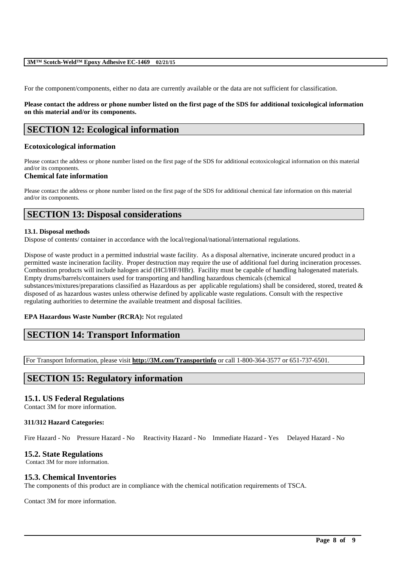#### **3M™ Scotch-Weld™ Epoxy Adhesive EC-1469 02/21/15**

For the component/components, either no data are currently available or the data are not sufficient for classification.

#### **Please contact the address or phone number listed on the first page of the SDS for additional toxicological information on this material and/or its components.**

## **SECTION 12: Ecological information**

#### **Ecotoxicological information**

Please contact the address or phone number listed on the first page of the SDS for additional ecotoxicological information on this material and/or its components.

#### **Chemical fate information**

Please contact the address or phone number listed on the first page of the SDS for additional chemical fate information on this material and/or its components.

## **SECTION 13: Disposal considerations**

#### **13.1. Disposal methods**

Dispose of contents/ container in accordance with the local/regional/national/international regulations.

Dispose of waste product in a permitted industrial waste facility. As a disposal alternative, incinerate uncured product in a permitted waste incineration facility. Proper destruction may require the use of additional fuel during incineration processes. Combustion products will include halogen acid (HCl/HF/HBr). Facility must be capable of handling halogenated materials. Empty drums/barrels/containers used for transporting and handling hazardous chemicals (chemical substances/mixtures/preparations classified as Hazardous as per applicable regulations) shall be considered, stored, treated & disposed of as hazardous wastes unless otherwise defined by applicable waste regulations. Consult with the respective regulating authorities to determine the available treatment and disposal facilities.

#### **EPA Hazardous Waste Number (RCRA):** Not regulated

## **SECTION 14: Transport Information**

For Transport Information, please visit **http://3M.com/Transportinfo** or call 1-800-364-3577 or 651-737-6501.

## **SECTION 15: Regulatory information**

#### **15.1. US Federal Regulations**

Contact 3M for more information.

#### **311/312 Hazard Categories:**

Fire Hazard - No Pressure Hazard - No Reactivity Hazard - No Immediate Hazard - Yes Delayed Hazard - No

\_\_\_\_\_\_\_\_\_\_\_\_\_\_\_\_\_\_\_\_\_\_\_\_\_\_\_\_\_\_\_\_\_\_\_\_\_\_\_\_\_\_\_\_\_\_\_\_\_\_\_\_\_\_\_\_\_\_\_\_\_\_\_\_\_\_\_\_\_\_\_\_\_\_\_\_\_\_\_\_\_\_\_\_\_\_\_\_\_\_

### **15.2. State Regulations**

Contact 3M for more information.

### **15.3. Chemical Inventories**

The components of this product are in compliance with the chemical notification requirements of TSCA.

Contact 3M for more information.